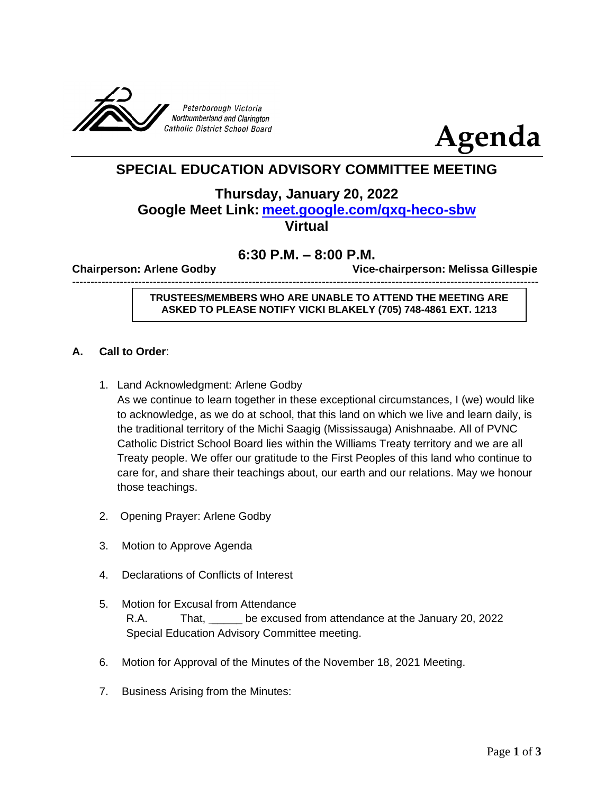



# **SPECIAL EDUCATION ADVISORY COMMITTEE MEETING**

## **Thursday, January 20, 2022 Google Meet Link: [meet.google.com/qxq-heco-sbw](http://meet.google.com/qxq-heco-sbw) Virtual**

## **6:30 P.M. – 8:00 P.M.**

-------------------------------------------------------------------------------------------------------------------------------

**Chairperson: Arlene Godby Vice-chairperson: Melissa Gillespie** 

**TRUSTEES/MEMBERS WHO ARE UNABLE TO ATTEND THE MEETING ARE ASKED TO PLEASE NOTIFY VICKI BLAKELY (705) 748-4861 EXT. 1213**

#### **A. Call to Order**:

1. Land Acknowledgment: Arlene Godby

As we continue to learn together in these exceptional circumstances, I (we) would like to acknowledge, as we do at school, that this land on which we live and learn daily, is the traditional territory of the Michi Saagig (Mississauga) Anishnaabe. All of PVNC Catholic District School Board lies within the Williams Treaty territory and we are all Treaty people. We offer our gratitude to the First Peoples of this land who continue to care for, and share their teachings about, our earth and our relations. May we honour those teachings.

- 2. Opening Prayer: Arlene Godby
- 3. Motion to Approve Agenda
- 4. Declarations of Conflicts of Interest
- 5. Motion for Excusal from Attendance R.A. That, \_\_\_\_\_ be excused from attendance at the January 20, 2022 Special Education Advisory Committee meeting.
- 6. Motion for Approval of the Minutes of the November 18, 2021 Meeting.
- 7. Business Arising from the Minutes: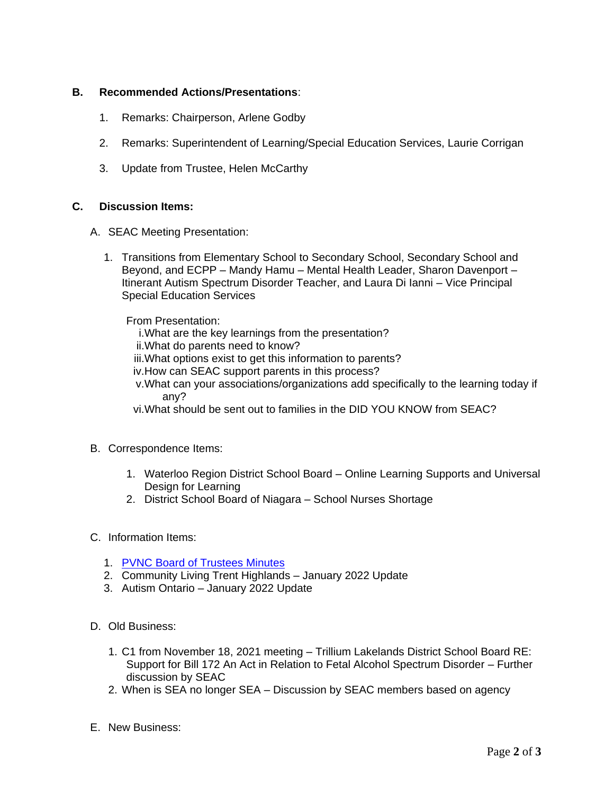#### **B. Recommended Actions/Presentations**:

- 1. Remarks: Chairperson, Arlene Godby
- 2. Remarks: Superintendent of Learning/Special Education Services, Laurie Corrigan
- 3. Update from Trustee, Helen McCarthy

#### **C. Discussion Items:**

- A. SEAC Meeting Presentation:
	- 1. Transitions from Elementary School to Secondary School, Secondary School and Beyond, and ECPP – Mandy Hamu – Mental Health Leader, Sharon Davenport – Itinerant Autism Spectrum Disorder Teacher, and Laura Di Ianni – Vice Principal Special Education Services

From Presentation:

i.What are the key learnings from the presentation?

ii.What do parents need to know?

iii.What options exist to get this information to parents?

- iv.How can SEAC support parents in this process?
- v.What can your associations/organizations add specifically to the learning today if any?
- vi.What should be sent out to families in the DID YOU KNOW from SEAC?
- B. Correspondence Items:
	- 1. Waterloo Region District School Board Online Learning Supports and Universal Design for Learning
	- 2. District School Board of Niagara School Nurses Shortage
- C. Information Items:
	- 1. [PVNC Board of Trustees Minutes](https://www.pvnccdsb.on.ca/our-board/board-meetings/)
	- 2. Community Living Trent Highlands January 2022 Update
	- 3. Autism Ontario January 2022 Update
- D. Old Business:
	- 1. C1 from November 18, 2021 meeting Trillium Lakelands District School Board RE: Support for Bill 172 An Act in Relation to Fetal Alcohol Spectrum Disorder – Further discussion by SEAC
	- 2. When is SEA no longer SEA Discussion by SEAC members based on agency
- E. New Business: